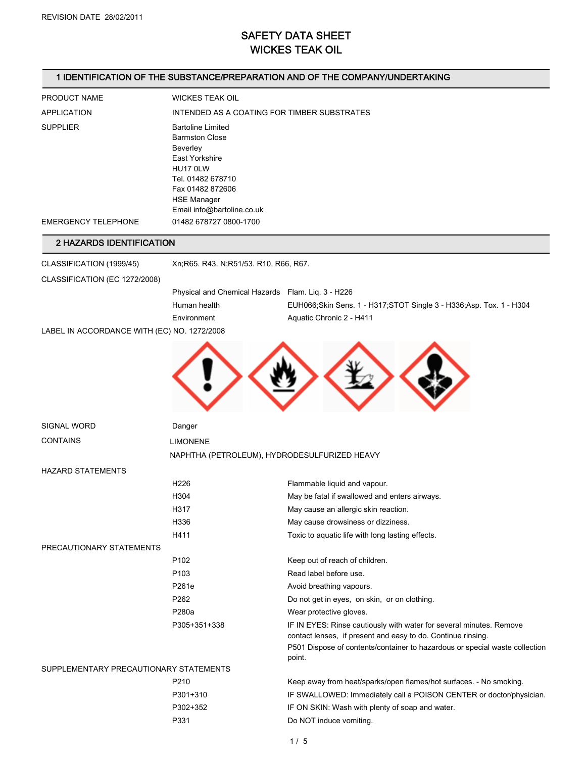# SAFETY DATA SHEET WICKES TEAK OIL

# 1 IDENTIFICATION OF THE SUBSTANCE/PREPARATION AND OF THE COMPANY/UNDERTAKING

| PRODUCT NAME        | <b>WICKES TEAK OIL</b>                                                                                                                                                                          |
|---------------------|-------------------------------------------------------------------------------------------------------------------------------------------------------------------------------------------------|
| APPLICATION         | INTENDED AS A COATING FOR TIMBER SUBSTRATES                                                                                                                                                     |
| <b>SUPPLIER</b>     | <b>Bartoline Limited</b><br><b>Barmston Close</b><br><b>Beverley</b><br>East Yorkshire<br>HU17 OLW<br>Tel. 01482 678710<br>Fax 01482 872606<br><b>HSE Manager</b><br>Email info@bartoline.co.uk |
| EMERGENCY TELEPHONE | 01482 678727 0800-1700                                                                                                                                                                          |

## 2 HAZARDS IDENTIFICATION

| CLASSIFICATION (1999/45)                    | Xn, R65. R43. N, R51/53. R10, R66, R67.                                          |                                                                                                                                                                                                                              |  |
|---------------------------------------------|----------------------------------------------------------------------------------|------------------------------------------------------------------------------------------------------------------------------------------------------------------------------------------------------------------------------|--|
| CLASSIFICATION (EC 1272/2008)               |                                                                                  |                                                                                                                                                                                                                              |  |
|                                             | Physical and Chemical Hazards Flam. Liq. 3 - H226<br>Human health<br>Environment | EUH066; Skin Sens. 1 - H317; STOT Single 3 - H336; Asp. Tox. 1 - H304<br>Aquatic Chronic 2 - H411                                                                                                                            |  |
| LABEL IN ACCORDANCE WITH (EC) NO. 1272/2008 |                                                                                  |                                                                                                                                                                                                                              |  |
|                                             |                                                                                  |                                                                                                                                                                                                                              |  |
| <b>SIGNAL WORD</b>                          | Danger                                                                           |                                                                                                                                                                                                                              |  |
| <b>CONTAINS</b>                             | <b>LIMONENE</b>                                                                  |                                                                                                                                                                                                                              |  |
|                                             | NAPHTHA (PETROLEUM), HYDRODESULFURIZED HEAVY                                     |                                                                                                                                                                                                                              |  |
| <b>HAZARD STATEMENTS</b>                    |                                                                                  |                                                                                                                                                                                                                              |  |
|                                             | H226                                                                             | Flammable liquid and vapour.                                                                                                                                                                                                 |  |
|                                             | H304                                                                             | May be fatal if swallowed and enters airways.                                                                                                                                                                                |  |
|                                             | H317                                                                             | May cause an allergic skin reaction.                                                                                                                                                                                         |  |
|                                             | H336                                                                             | May cause drowsiness or dizziness.                                                                                                                                                                                           |  |
|                                             | H411                                                                             | Toxic to aquatic life with long lasting effects.                                                                                                                                                                             |  |
| PRECAUTIONARY STATEMENTS                    |                                                                                  |                                                                                                                                                                                                                              |  |
|                                             | P102                                                                             | Keep out of reach of children.                                                                                                                                                                                               |  |
|                                             | P <sub>103</sub>                                                                 | Read label before use.                                                                                                                                                                                                       |  |
|                                             | P261e                                                                            | Avoid breathing vapours.                                                                                                                                                                                                     |  |
|                                             | P262                                                                             | Do not get in eyes, on skin, or on clothing.                                                                                                                                                                                 |  |
|                                             | P280a                                                                            | Wear protective gloves.                                                                                                                                                                                                      |  |
|                                             | P305+351+338                                                                     | IF IN EYES: Rinse cautiously with water for several minutes. Remove<br>contact lenses, if present and easy to do. Continue rinsing.<br>P501 Dispose of contents/container to hazardous or special waste collection<br>point. |  |
| SUPPLEMENTARY PRECAUTIONARY STATEMENTS      |                                                                                  |                                                                                                                                                                                                                              |  |
|                                             | P210                                                                             | Keep away from heat/sparks/open flames/hot surfaces. - No smoking.                                                                                                                                                           |  |
|                                             | P301+310                                                                         | IF SWALLOWED: Immediately call a POISON CENTER or doctor/physician.                                                                                                                                                          |  |
|                                             | P302+352                                                                         | IF ON SKIN: Wash with plenty of soap and water.                                                                                                                                                                              |  |
|                                             | P331                                                                             | Do NOT induce vomiting.                                                                                                                                                                                                      |  |
|                                             |                                                                                  | 1/5                                                                                                                                                                                                                          |  |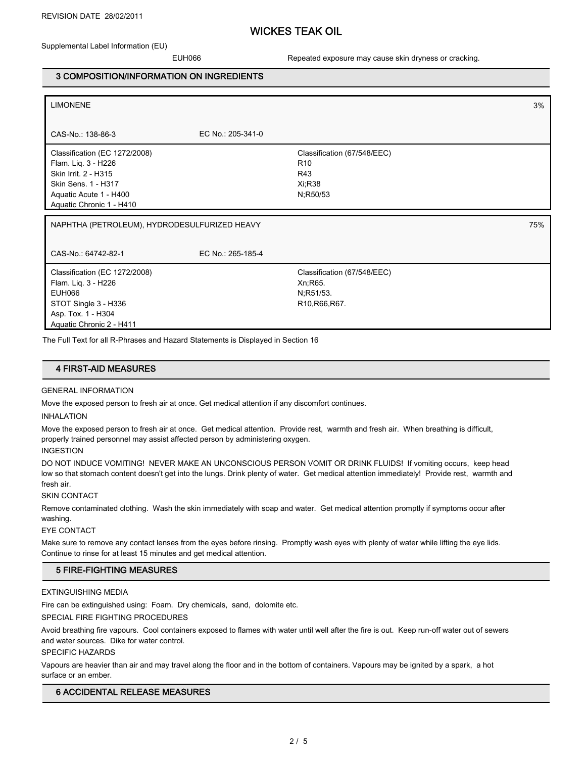Supplemental Label Information (EU)

EUH066 Repeated exposure may cause skin dryness or cracking.

### 3 COMPOSITION/INFORMATION ON INGREDIENTS

| <b>LIMONENE</b>                                                                                                                                           |                   |                                                                             | 3% |
|-----------------------------------------------------------------------------------------------------------------------------------------------------------|-------------------|-----------------------------------------------------------------------------|----|
| CAS-No.: 138-86-3                                                                                                                                         | EC No.: 205-341-0 |                                                                             |    |
| Classification (EC 1272/2008)<br>Flam. Lig. 3 - H226<br>Skin Irrit. 2 - H315<br>Skin Sens. 1 - H317<br>Aquatic Acute 1 - H400<br>Aquatic Chronic 1 - H410 |                   | Classification (67/548/EEC)<br>R <sub>10</sub><br>R43<br>Xi:R38<br>N;R50/53 |    |

| CAS-No.: 64742-82-1                                                                                                                      | EC No.: 265-185-4                                                                                             |
|------------------------------------------------------------------------------------------------------------------------------------------|---------------------------------------------------------------------------------------------------------------|
| Classification (EC 1272/2008)<br>Flam. Lig. 3 - H226<br>EUH066<br>STOT Single 3 - H336<br>Asp. Tox. 1 - H304<br>Aquatic Chronic 2 - H411 | Classification (67/548/EEC)<br>Xn, R65.<br>N,R51/53.<br>R <sub>10</sub> , R <sub>66</sub> , R <sub>67</sub> . |

The Full Text for all R-Phrases and Hazard Statements is Displayed in Section 16

#### 4 FIRST-AID MEASURES

#### GENERAL INFORMATION

Move the exposed person to fresh air at once. Get medical attention if any discomfort continues.

INHALATION

Move the exposed person to fresh air at once. Get medical attention. Provide rest, warmth and fresh air. When breathing is difficult, properly trained personnel may assist affected person by administering oxygen.

INGESTION

DO NOT INDUCE VOMITING! NEVER MAKE AN UNCONSCIOUS PERSON VOMIT OR DRINK FLUIDS! If vomiting occurs, keep head low so that stomach content doesn't get into the lungs. Drink plenty of water. Get medical attention immediately! Provide rest, warmth and fresh air.

SKIN CONTACT

Remove contaminated clothing. Wash the skin immediately with soap and water. Get medical attention promptly if symptoms occur after washing.

EYE CONTACT

Make sure to remove any contact lenses from the eyes before rinsing. Promptly wash eyes with plenty of water while lifting the eye lids. Continue to rinse for at least 15 minutes and get medical attention.

### 5 FIRE-FIGHTING MEASURES

#### EXTINGUISHING MEDIA

Fire can be extinguished using: Foam. Dry chemicals, sand, dolomite etc.

SPECIAL FIRE FIGHTING PROCEDURES

Avoid breathing fire vapours. Cool containers exposed to flames with water until well after the fire is out. Keep run-off water out of sewers and water sources. Dike for water control.

#### SPECIFIC HAZARDS

Vapours are heavier than air and may travel along the floor and in the bottom of containers. Vapours may be ignited by a spark, a hot surface or an ember.

#### 6 ACCIDENTAL RELEASE MEASURES

NAPHTHA (PETROLEUM), HYDRODESULFURIZED HEAVY 75%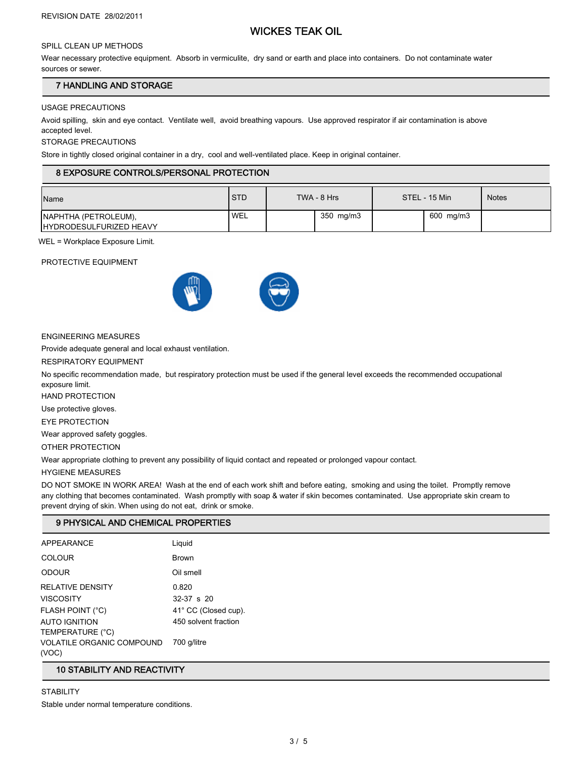#### SPILL CLEAN UP METHODS

Wear necessary protective equipment. Absorb in vermiculite, dry sand or earth and place into containers. Do not contaminate water sources or sewer.

### 7 HANDLING AND STORAGE

#### USAGE PRECAUTIONS

Avoid spilling, skin and eye contact. Ventilate well, avoid breathing vapours. Use approved respirator if air contamination is above accepted level.

STORAGE PRECAUTIONS

Store in tightly closed original container in a dry, cool and well-ventilated place. Keep in original container.

### 8 EXPOSURE CONTROLS/PERSONAL PROTECTION

| Name                                                           | <b>STD</b> | TWA - 8 Hrs | STEL - 15 Min | <b>Notes</b> |
|----------------------------------------------------------------|------------|-------------|---------------|--------------|
| <b>NAPHTHA (PETROLEUM),</b><br><b>IHYDRODESULFURIZED HEAVY</b> | <b>WEL</b> | 350 mg/m3   | 600 mg/m3     |              |

WEL = Workplace Exposure Limit.

PROTECTIVE EQUIPMENT





ENGINEERING MEASURES

Provide adequate general and local exhaust ventilation.

RESPIRATORY EQUIPMENT

No specific recommendation made, but respiratory protection must be used if the general level exceeds the recommended occupational exposure limit.

HAND PROTECTION

Use protective gloves.

EYE PROTECTION

Wear approved safety goggles.

OTHER PROTECTION

Wear appropriate clothing to prevent any possibility of liquid contact and repeated or prolonged vapour contact.

HYGIENE MEASURES

DO NOT SMOKE IN WORK AREA! Wash at the end of each work shift and before eating, smoking and using the toilet. Promptly remove any clothing that becomes contaminated. Wash promptly with soap & water if skin becomes contaminated. Use appropriate skin cream to prevent drying of skin. When using do not eat, drink or smoke.

### 9 PHYSICAL AND CHEMICAL PROPERTIES

| APPFARANCF                                                                                            | Liguid                                                                |
|-------------------------------------------------------------------------------------------------------|-----------------------------------------------------------------------|
| COLOUR                                                                                                | <b>Brown</b>                                                          |
| ODOUR                                                                                                 | Oil smell                                                             |
| <b>REI ATIVE DENSITY</b><br><b>VISCOSITY</b><br>FLASH POINT (°C)<br>AUTO IGNITION<br>TEMPERATURE (°C) | 0.820<br>$32-37$ s 20<br>41° CC (Closed cup).<br>450 solvent fraction |
| <b>VOLATILE ORGANIC COMPOUND</b><br>(VOC)                                                             | 700 g/litre                                                           |

### 10 STABILITY AND REACTIVITY

**STABILITY** Stable under normal temperature conditions.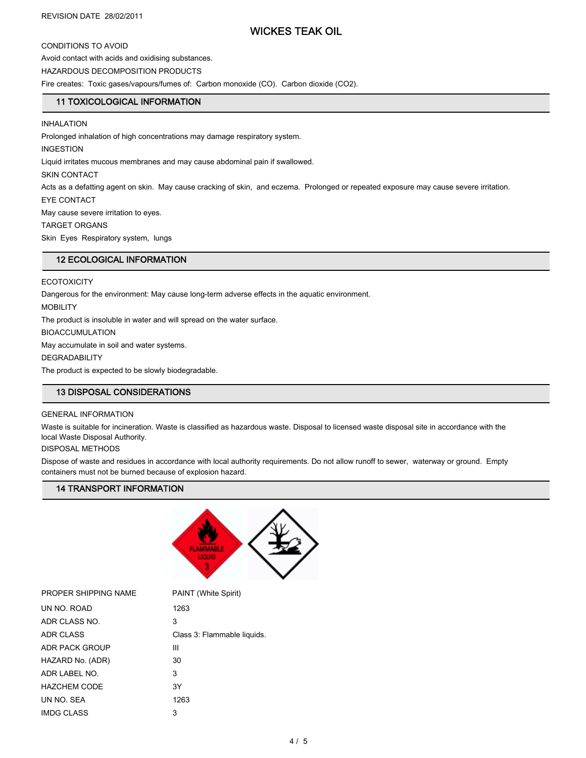CONDITIONS TO AVOID

Avoid contact with acids and oxidising substances.

HAZARDOUS DECOMPOSITION PRODUCTS

Fire creates: Toxic gases/vapours/fumes of: Carbon monoxide (CO). Carbon dioxide (CO2).

### 11 TOXICOLOGICAL INFORMATION

#### INHALATION

Prolonged inhalation of high concentrations may damage respiratory system.

INGESTION

Liquid irritates mucous membranes and may cause abdominal pain if swallowed.

#### SKIN CONTACT

Acts as a defatting agent on skin. May cause cracking of skin, and eczema. Prolonged or repeated exposure may cause severe irritation.

#### EYE CONTACT

May cause severe irritation to eyes.

#### TARGET ORGANS

Skin Eyes Respiratory system, lungs

### 12 ECOLOGICAL INFORMATION

#### **ECOTOXICITY**

Dangerous for the environment: May cause long-term adverse effects in the aquatic environment.

MOBILITY

The product is insoluble in water and will spread on the water surface.

BIOACCUMULATION

May accumulate in soil and water systems.

#### DEGRADABILITY

The product is expected to be slowly biodegradable.

### 13 DISPOSAL CONSIDERATIONS

### GENERAL INFORMATION

Waste is suitable for incineration. Waste is classified as hazardous waste. Disposal to licensed waste disposal site in accordance with the local Waste Disposal Authority.

### DISPOSAL METHODS

Dispose of waste and residues in accordance with local authority requirements. Do not allow runoff to sewer, waterway or ground. Empty containers must not be burned because of explosion hazard.

### 14 TRANSPORT INFORMATION



| PROPER SHIPPING NAME | PAINT (White Spirit)        |
|----------------------|-----------------------------|
| UN NO ROAD           | 1263                        |
| ADR CLASS NO.        | 3                           |
| <b>ADR CLASS</b>     | Class 3: Flammable liquids. |
| ADR PACK GROUP       | Ш                           |
| HAZARD No. (ADR)     | 30                          |
| ADR LABEL NO         | 3                           |
| <b>HAZCHEM CODE</b>  | 3Y                          |
| UN NO. SEA           | 1263                        |
| <b>IMDG CLASS</b>    | 3                           |